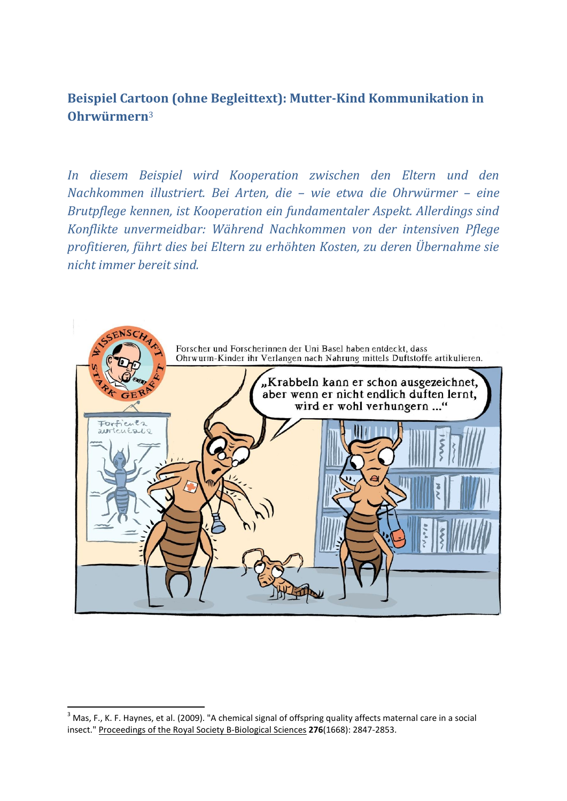**Beispiel Cartoon (ohne Begleittext): Mutter-Kind Kommunikation in Ohrwürmern**<sup>3</sup>

*In diesem Beispiel wird Kooperation zwischen den Eltern und den Nachkommen illustriert. Bei Arten, die – wie etwa die Ohrwürmer – eine Brutpflege kennen, ist Kooperation ein fundamentaler Aspekt. Allerdings sind Konflikte unvermeidbar: Während Nachkommen von der intensiven Pflege profitieren, führt dies bei Eltern zu erhöhten Kosten, zu deren Übernahme sie nicht immer bereit sind.* 



 $\overline{a}$ 

<sup>&</sup>lt;sup>3</sup> Mas, F., K. F. Haynes, et al. (2009). "A chemical signal of offspring quality affects maternal care in a social insect." Proceedings of the Royal Society B-Biological Sciences **276**(1668): 2847-2853.